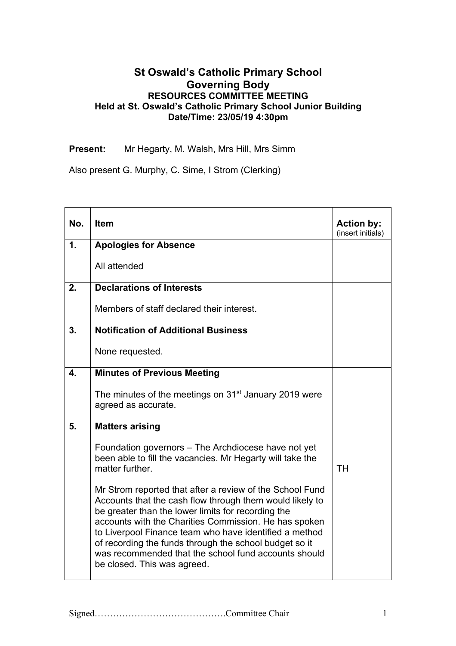## **St Oswald's Catholic Primary School Governing Body RESOURCES COMMITTEE MEETING Held at St. Oswald's Catholic Primary School Junior Building Date/Time: 23/05/19 4:30pm**

**Present:** Mr Hegarty, M. Walsh, Mrs Hill, Mrs Simm

Also present G. Murphy, C. Sime, I Strom (Clerking)

| No. | <b>Item</b>                                                                                                                                                                                                                                                                                                                                                                                                                                    | <b>Action by:</b><br>(insert initials) |
|-----|------------------------------------------------------------------------------------------------------------------------------------------------------------------------------------------------------------------------------------------------------------------------------------------------------------------------------------------------------------------------------------------------------------------------------------------------|----------------------------------------|
| 1.  | <b>Apologies for Absence</b>                                                                                                                                                                                                                                                                                                                                                                                                                   |                                        |
|     | All attended                                                                                                                                                                                                                                                                                                                                                                                                                                   |                                        |
| 2.  | <b>Declarations of Interests</b>                                                                                                                                                                                                                                                                                                                                                                                                               |                                        |
|     | Members of staff declared their interest.                                                                                                                                                                                                                                                                                                                                                                                                      |                                        |
| 3.  | <b>Notification of Additional Business</b>                                                                                                                                                                                                                                                                                                                                                                                                     |                                        |
|     | None requested.                                                                                                                                                                                                                                                                                                                                                                                                                                |                                        |
| 4.  | <b>Minutes of Previous Meeting</b>                                                                                                                                                                                                                                                                                                                                                                                                             |                                        |
|     | The minutes of the meetings on 31 <sup>st</sup> January 2019 were<br>agreed as accurate.                                                                                                                                                                                                                                                                                                                                                       |                                        |
| 5.  | <b>Matters arising</b>                                                                                                                                                                                                                                                                                                                                                                                                                         |                                        |
|     | Foundation governors – The Archdiocese have not yet<br>been able to fill the vacancies. Mr Hegarty will take the<br>matter further.                                                                                                                                                                                                                                                                                                            | <b>TH</b>                              |
|     | Mr Strom reported that after a review of the School Fund<br>Accounts that the cash flow through them would likely to<br>be greater than the lower limits for recording the<br>accounts with the Charities Commission. He has spoken<br>to Liverpool Finance team who have identified a method<br>of recording the funds through the school budget so it<br>was recommended that the school fund accounts should<br>be closed. This was agreed. |                                        |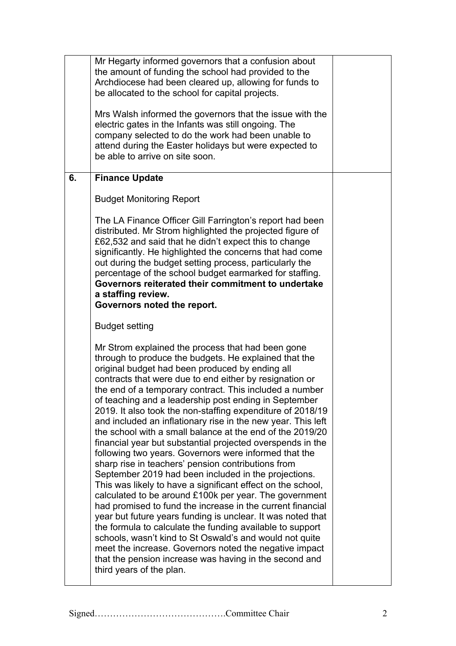|    | Mr Hegarty informed governors that a confusion about<br>the amount of funding the school had provided to the<br>Archdiocese had been cleared up, allowing for funds to<br>be allocated to the school for capital projects.<br>Mrs Walsh informed the governors that the issue with the<br>electric gates in the Infants was still ongoing. The                                                                                                                                                                                                                                                                                                                                                                                                                                                                                                                                                                                                                                                                                                                                                                                                                                                                                                                                                             |  |
|----|------------------------------------------------------------------------------------------------------------------------------------------------------------------------------------------------------------------------------------------------------------------------------------------------------------------------------------------------------------------------------------------------------------------------------------------------------------------------------------------------------------------------------------------------------------------------------------------------------------------------------------------------------------------------------------------------------------------------------------------------------------------------------------------------------------------------------------------------------------------------------------------------------------------------------------------------------------------------------------------------------------------------------------------------------------------------------------------------------------------------------------------------------------------------------------------------------------------------------------------------------------------------------------------------------------|--|
|    | company selected to do the work had been unable to<br>attend during the Easter holidays but were expected to<br>be able to arrive on site soon.                                                                                                                                                                                                                                                                                                                                                                                                                                                                                                                                                                                                                                                                                                                                                                                                                                                                                                                                                                                                                                                                                                                                                            |  |
| 6. | <b>Finance Update</b>                                                                                                                                                                                                                                                                                                                                                                                                                                                                                                                                                                                                                                                                                                                                                                                                                                                                                                                                                                                                                                                                                                                                                                                                                                                                                      |  |
|    | <b>Budget Monitoring Report</b>                                                                                                                                                                                                                                                                                                                                                                                                                                                                                                                                                                                                                                                                                                                                                                                                                                                                                                                                                                                                                                                                                                                                                                                                                                                                            |  |
|    | The LA Finance Officer Gill Farrington's report had been<br>distributed. Mr Strom highlighted the projected figure of<br>£62,532 and said that he didn't expect this to change<br>significantly. He highlighted the concerns that had come<br>out during the budget setting process, particularly the<br>percentage of the school budget earmarked for staffing.<br>Governors reiterated their commitment to undertake<br>a staffing review.<br>Governors noted the report.                                                                                                                                                                                                                                                                                                                                                                                                                                                                                                                                                                                                                                                                                                                                                                                                                                |  |
|    | <b>Budget setting</b>                                                                                                                                                                                                                                                                                                                                                                                                                                                                                                                                                                                                                                                                                                                                                                                                                                                                                                                                                                                                                                                                                                                                                                                                                                                                                      |  |
|    | Mr Strom explained the process that had been gone<br>through to produce the budgets. He explained that the<br>original budget had been produced by ending all<br>contracts that were due to end either by resignation or<br>the end of a temporary contract. This included a number<br>of teaching and a leadership post ending in September<br>2019. It also took the non-staffing expenditure of 2018/19<br>and included an inflationary rise in the new year. This left<br>the school with a small balance at the end of the 2019/20<br>financial year but substantial projected overspends in the<br>following two years. Governors were informed that the<br>sharp rise in teachers' pension contributions from<br>September 2019 had been included in the projections.<br>This was likely to have a significant effect on the school,<br>calculated to be around £100k per year. The government<br>had promised to fund the increase in the current financial<br>year but future years funding is unclear. It was noted that<br>the formula to calculate the funding available to support<br>schools, wasn't kind to St Oswald's and would not quite<br>meet the increase. Governors noted the negative impact<br>that the pension increase was having in the second and<br>third years of the plan. |  |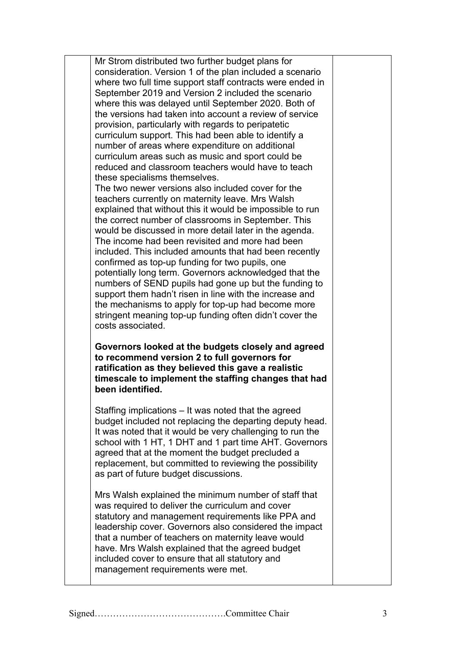Mr Strom distributed two further budget plans for consideration. Version 1 of the plan included a scenario where two full time support staff contracts were ended in September 2019 and Version 2 included the scenario where this was delayed until September 2020. Both of the versions had taken into account a review of service provision, particularly with regards to peripatetic curriculum support. This had been able to identify a number of areas where expenditure on additional curriculum areas such as music and sport could be reduced and classroom teachers would have to teach these specialisms themselves.

The two newer versions also included cover for the teachers currently on maternity leave. Mrs Walsh explained that without this it would be impossible to run the correct number of classrooms in September. This would be discussed in more detail later in the agenda. The income had been revisited and more had been included. This included amounts that had been recently confirmed as top-up funding for two pupils, one potentially long term. Governors acknowledged that the numbers of SEND pupils had gone up but the funding to support them hadn't risen in line with the increase and the mechanisms to apply for top-up had become more stringent meaning top-up funding often didn't cover the costs associated.

**Governors looked at the budgets closely and agreed to recommend version 2 to full governors for ratification as they believed this gave a realistic timescale to implement the staffing changes that had been identified.**

Staffing implications – It was noted that the agreed budget included not replacing the departing deputy head. It was noted that it would be very challenging to run the school with 1 HT, 1 DHT and 1 part time AHT. Governors agreed that at the moment the budget precluded a replacement, but committed to reviewing the possibility as part of future budget discussions.

Mrs Walsh explained the minimum number of staff that was required to deliver the curriculum and cover statutory and management requirements like PPA and leadership cover. Governors also considered the impact that a number of teachers on maternity leave would have. Mrs Walsh explained that the agreed budget included cover to ensure that all statutory and management requirements were met.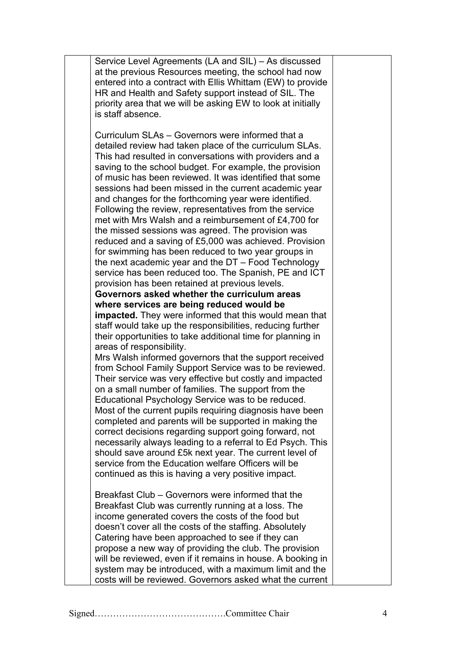| Service Level Agreements (LA and SIL) - As discussed                                                       |  |
|------------------------------------------------------------------------------------------------------------|--|
| at the previous Resources meeting, the school had now                                                      |  |
| entered into a contract with Ellis Whittam (EW) to provide                                                 |  |
| HR and Health and Safety support instead of SIL. The                                                       |  |
| priority area that we will be asking EW to look at initially                                               |  |
| is staff absence.                                                                                          |  |
|                                                                                                            |  |
| Curriculum SLAs - Governors were informed that a                                                           |  |
| detailed review had taken place of the curriculum SLAs.                                                    |  |
| This had resulted in conversations with providers and a                                                    |  |
| saving to the school budget. For example, the provision                                                    |  |
| of music has been reviewed. It was identified that some                                                    |  |
| sessions had been missed in the current academic year                                                      |  |
|                                                                                                            |  |
| and changes for the forthcoming year were identified.                                                      |  |
| Following the review, representatives from the service                                                     |  |
| met with Mrs Walsh and a reimbursement of £4,700 for<br>the missed sessions was agreed. The provision was  |  |
|                                                                                                            |  |
| reduced and a saving of £5,000 was achieved. Provision                                                     |  |
| for swimming has been reduced to two year groups in                                                        |  |
| the next academic year and the $DT$ – Food Technology                                                      |  |
| service has been reduced too. The Spanish, PE and ICT                                                      |  |
| provision has been retained at previous levels.<br>Governors asked whether the curriculum areas            |  |
|                                                                                                            |  |
| where services are being reduced would be<br><b>impacted.</b> They were informed that this would mean that |  |
| staff would take up the responsibilities, reducing further                                                 |  |
|                                                                                                            |  |
| their opportunities to take additional time for planning in<br>areas of responsibility.                    |  |
| Mrs Walsh informed governors that the support received                                                     |  |
| from School Family Support Service was to be reviewed.                                                     |  |
| Their service was very effective but costly and impacted                                                   |  |
| on a small number of families. The support from the                                                        |  |
| Educational Psychology Service was to be reduced.                                                          |  |
| Most of the current pupils requiring diagnosis have been                                                   |  |
| completed and parents will be supported in making the                                                      |  |
| correct decisions regarding support going forward, not                                                     |  |
| necessarily always leading to a referral to Ed Psych. This                                                 |  |
| should save around £5k next year. The current level of                                                     |  |
| service from the Education welfare Officers will be                                                        |  |
| continued as this is having a very positive impact.                                                        |  |
|                                                                                                            |  |
| Breakfast Club – Governors were informed that the                                                          |  |
| Breakfast Club was currently running at a loss. The                                                        |  |
| income generated covers the costs of the food but                                                          |  |
| doesn't cover all the costs of the staffing. Absolutely                                                    |  |
| Catering have been approached to see if they can                                                           |  |
| propose a new way of providing the club. The provision                                                     |  |
| will be reviewed, even if it remains in house. A booking in                                                |  |
| system may be introduced, with a maximum limit and the                                                     |  |
| costs will be reviewed. Governors asked what the current                                                   |  |
|                                                                                                            |  |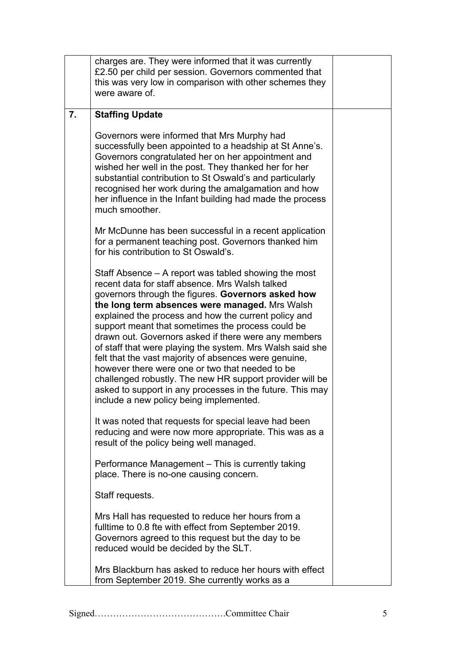|    | charges are. They were informed that it was currently<br>£2.50 per child per session. Governors commented that<br>this was very low in comparison with other schemes they<br>were aware of.                                                                                                                                                                                                                                                                                                                                                                                                                                                                                                                                       |  |
|----|-----------------------------------------------------------------------------------------------------------------------------------------------------------------------------------------------------------------------------------------------------------------------------------------------------------------------------------------------------------------------------------------------------------------------------------------------------------------------------------------------------------------------------------------------------------------------------------------------------------------------------------------------------------------------------------------------------------------------------------|--|
| 7. | <b>Staffing Update</b>                                                                                                                                                                                                                                                                                                                                                                                                                                                                                                                                                                                                                                                                                                            |  |
|    | Governors were informed that Mrs Murphy had<br>successfully been appointed to a headship at St Anne's.<br>Governors congratulated her on her appointment and<br>wished her well in the post. They thanked her for her<br>substantial contribution to St Oswald's and particularly<br>recognised her work during the amalgamation and how<br>her influence in the Infant building had made the process<br>much smoother.                                                                                                                                                                                                                                                                                                           |  |
|    | Mr McDunne has been successful in a recent application<br>for a permanent teaching post. Governors thanked him<br>for his contribution to St Oswald's.                                                                                                                                                                                                                                                                                                                                                                                                                                                                                                                                                                            |  |
|    | Staff Absence – A report was tabled showing the most<br>recent data for staff absence. Mrs Walsh talked<br>governors through the figures. Governors asked how<br>the long term absences were managed. Mrs Walsh<br>explained the process and how the current policy and<br>support meant that sometimes the process could be<br>drawn out. Governors asked if there were any members<br>of staff that were playing the system. Mrs Walsh said she<br>felt that the vast majority of absences were genuine,<br>however there were one or two that needed to be<br>challenged robustly. The new HR support provider will be<br>asked to support in any processes in the future. This may<br>include a new policy being implemented. |  |
|    | It was noted that requests for special leave had been<br>reducing and were now more appropriate. This was as a<br>result of the policy being well managed.                                                                                                                                                                                                                                                                                                                                                                                                                                                                                                                                                                        |  |
|    | Performance Management - This is currently taking<br>place. There is no-one causing concern.                                                                                                                                                                                                                                                                                                                                                                                                                                                                                                                                                                                                                                      |  |
|    | Staff requests.                                                                                                                                                                                                                                                                                                                                                                                                                                                                                                                                                                                                                                                                                                                   |  |
|    | Mrs Hall has requested to reduce her hours from a<br>fulltime to 0.8 fte with effect from September 2019.<br>Governors agreed to this request but the day to be<br>reduced would be decided by the SLT.                                                                                                                                                                                                                                                                                                                                                                                                                                                                                                                           |  |
|    | Mrs Blackburn has asked to reduce her hours with effect<br>from September 2019. She currently works as a                                                                                                                                                                                                                                                                                                                                                                                                                                                                                                                                                                                                                          |  |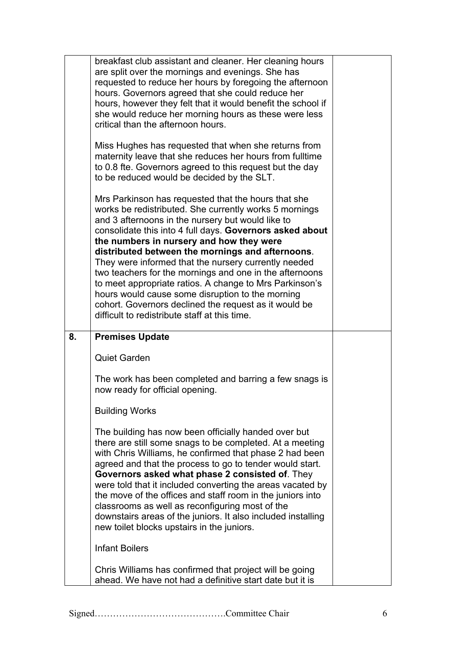|    | breakfast club assistant and cleaner. Her cleaning hours<br>are split over the mornings and evenings. She has<br>requested to reduce her hours by foregoing the afternoon<br>hours. Governors agreed that she could reduce her<br>hours, however they felt that it would benefit the school if<br>she would reduce her morning hours as these were less<br>critical than the afternoon hours.<br>Miss Hughes has requested that when she returns from<br>maternity leave that she reduces her hours from fulltime<br>to 0.8 fte. Governors agreed to this request but the day<br>to be reduced would be decided by the SLT.<br>Mrs Parkinson has requested that the hours that she<br>works be redistributed. She currently works 5 mornings |  |
|----|----------------------------------------------------------------------------------------------------------------------------------------------------------------------------------------------------------------------------------------------------------------------------------------------------------------------------------------------------------------------------------------------------------------------------------------------------------------------------------------------------------------------------------------------------------------------------------------------------------------------------------------------------------------------------------------------------------------------------------------------|--|
|    | and 3 afternoons in the nursery but would like to<br>consolidate this into 4 full days. Governors asked about<br>the numbers in nursery and how they were<br>distributed between the mornings and afternoons.<br>They were informed that the nursery currently needed<br>two teachers for the mornings and one in the afternoons                                                                                                                                                                                                                                                                                                                                                                                                             |  |
|    | to meet appropriate ratios. A change to Mrs Parkinson's<br>hours would cause some disruption to the morning<br>cohort. Governors declined the request as it would be<br>difficult to redistribute staff at this time.                                                                                                                                                                                                                                                                                                                                                                                                                                                                                                                        |  |
| 8. | <b>Premises Update</b><br><b>Quiet Garden</b>                                                                                                                                                                                                                                                                                                                                                                                                                                                                                                                                                                                                                                                                                                |  |
|    | The work has been completed and barring a few snags is<br>now ready for official opening.<br><b>Building Works</b>                                                                                                                                                                                                                                                                                                                                                                                                                                                                                                                                                                                                                           |  |
|    | The building has now been officially handed over but<br>there are still some snags to be completed. At a meeting<br>with Chris Williams, he confirmed that phase 2 had been<br>agreed and that the process to go to tender would start.<br>Governors asked what phase 2 consisted of. They<br>were told that it included converting the areas vacated by<br>the move of the offices and staff room in the juniors into<br>classrooms as well as reconfiguring most of the<br>downstairs areas of the juniors. It also included installing<br>new toilet blocks upstairs in the juniors.                                                                                                                                                      |  |
|    |                                                                                                                                                                                                                                                                                                                                                                                                                                                                                                                                                                                                                                                                                                                                              |  |
|    | <b>Infant Boilers</b>                                                                                                                                                                                                                                                                                                                                                                                                                                                                                                                                                                                                                                                                                                                        |  |